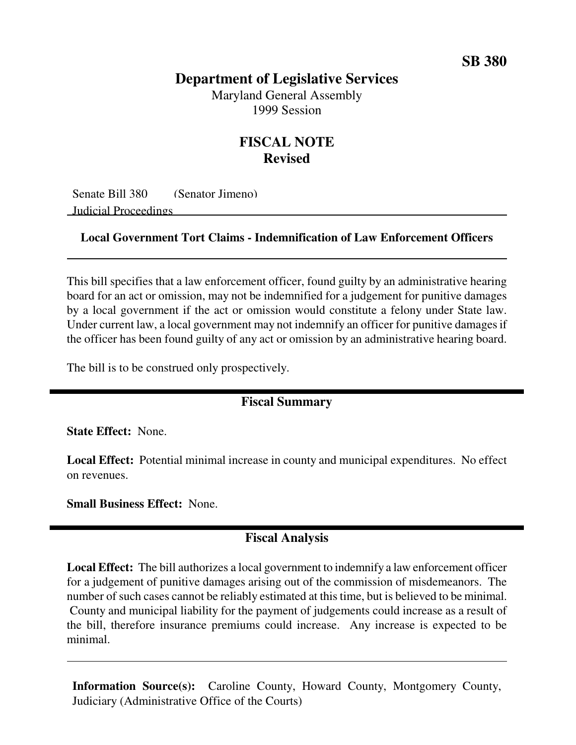# **Department of Legislative Services** Maryland General Assembly

1999 Session

# **FISCAL NOTE Revised**

Senate Bill 380 (Senator Jimeno) Judicial Proceedings

#### **Local Government Tort Claims - Indemnification of Law Enforcement Officers**

This bill specifies that a law enforcement officer, found guilty by an administrative hearing board for an act or omission, may not be indemnified for a judgement for punitive damages by a local government if the act or omission would constitute a felony under State law. Under current law, a local government may not indemnify an officer for punitive damages if the officer has been found guilty of any act or omission by an administrative hearing board.

The bill is to be construed only prospectively.

### **Fiscal Summary**

**State Effect:** None.

**Local Effect:** Potential minimal increase in county and municipal expenditures. No effect on revenues.

**Small Business Effect:** None.

### **Fiscal Analysis**

**Local Effect:** The bill authorizes a local government to indemnify a law enforcement officer for a judgement of punitive damages arising out of the commission of misdemeanors. The number of such cases cannot be reliably estimated at this time, but is believed to be minimal. County and municipal liability for the payment of judgements could increase as a result of the bill, therefore insurance premiums could increase. Any increase is expected to be minimal.

**Information Source(s):** Caroline County, Howard County, Montgomery County, Judiciary (Administrative Office of the Courts)